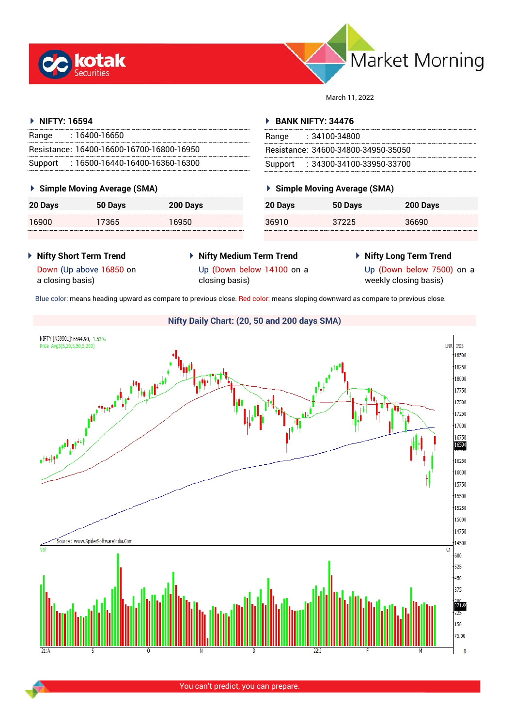



March 11, 2022

### **NIFTY: 16594**

| Range | : 16400-16650                             |
|-------|-------------------------------------------|
|       | Resistance: 16400-16600-16700-16800-16950 |
|       | Support: 16500-16440-16400-16360-16300    |

### **Simple Moving Average (SMA)**

| 20 Days | 50 Days | 200 Days |
|---------|---------|----------|
| 16900   | 17365   | 16950    |

#### **BANK NIFTY: 34476**

| Range | : 34100-34800                       |
|-------|-------------------------------------|
|       | Resistance: 34600-34800-34950-35050 |
|       | Support: : 34300-34100-33950-33700  |

## **Simple Moving Average (SMA)**

| 20 Days | 50 Days | 200 Days |
|---------|---------|----------|
| 36910   | 37225   | 36690    |

 **Nifty Short Term Trend** Down (Up above 16850 on

a closing basis)

- **Nifty Medium Term Trend** Up (Down below 14100 on a closing basis)
- **Nifty Long Term Trend**

Up (Down below 7500) on a

weekly closing basis)

Blue color: means heading upward as compare to previous close. Red color: means sloping downward as compare to previous close.

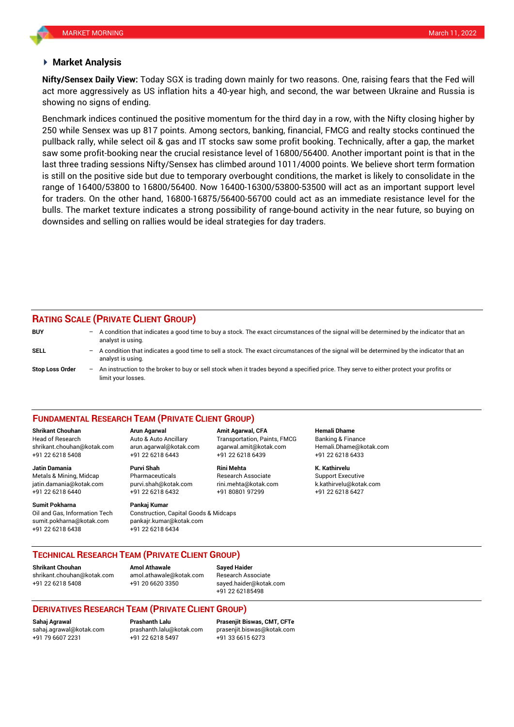#### **Market Analysis**

act more aggressively as US inflation hits a 40-year high, and second, the war between Ukraine and Russia is **Nifty/Sensex Daily View:** Today SGX is trading down mainly for two reasons. One, raising fears that the Fed will showing no signs of ending.

Benchmark indices continued the positive momentum for the third day in a row, with the Nifty closing higher by 250 while Sensex was up 817 points. Among sectors, banking, financial, FMCG and realty stocks continued the pullback rally, while select oil & gas and IT stocks saw some profit booking. Technically, after a gap, the market saw some profit-booking near the crucial resistance level of 16800/56400. Another important point is that in the last three trading sessions Nifty/Sensex has climbed around 1011/4000 points. We believe short term formation is still on the positive side but due to temporary overbought conditions, the market is likely to consolidate in the range of 16400/53800 to 16800/56400. Now 16400-16300/53800-53500 will act as an important support level for traders. On the other hand, 16800-16875/56400-56700 could act as an immediate resistance level for the bulls. The market texture indicates a strong possibility of range-bound activity in the near future, so buying on downsides and selling on rallies would be ideal strategies for day traders.

#### **RATING SCALE (PRIVATE CLIENT GROUP)**

limit your losses.

**BUY** – A condition that indicates a good time to buy a stock. The exact circumstances of the signal will be determined by the indicator that an analyst is using. **SELL** – A condition that indicates a good time to sell a stock. The exact circumstances of the signal will be determined by the indicator that an analyst is using. **Stop Loss Order** – An instruction to the broker to buy or sell stock when it trades beyond a specified price. They serve to either protect your profits or

#### **FUNDAMENTAL RESEARCH TEAM (PRIVATE CLIENT GROUP)**

Head of Research Auto & Auto Ancillary Transportation, Paints, FMCG Banking & Finance [shrikant.chouhan@kotak.com](mailto:shrikant.chouhan@kotak.com) arun.agarwal@kotak.com agarwal.amit@kotak.com Hemali.Dhame@kotak.com

**Jatin Damania Purvi Shah Rini Mehta K. Kathirvelu** Metals & Mining, Midcap **Research Associate** Research Associate Support Executive jatin.damania@kotak.com [purvi.shah@kotak.com](mailto:purvi.shah@kotak.com) rini.mehta@kotak.com [k.kathirvelu@kotak.com](mailto:k.kathirvelu@kotak.com) +91 22 6218 6440 +91 22 6218 6432 +91 80801 97299 +91 22 6218 6427

Oil and Gas, Information Tech Construction, Capital Goods & Midcaps sumit.pokharna@kotak.com pankajr.kumar@kotak.com

+91 22 6218 5408 +91 22 6218 6443 +91 22 6218 6439 +91 22 6218 6433

# **Sumit Pokharna** Pankaj Kumar

+91 22 6218 6438 +91 22 6218 6434

**Shrikant Chouhan Arun Agarwal Amit Agarwal, CFA Hemali Dhame**

**TECHNICAL RESEARCH TEAM (PRIVATE CLIENT GROUP)**

**Shrikant Chouhan Amol Athawale Sayed Haider** [shrikant.chouhan@kotak.com](mailto:shrikant.chouhan@kotak.com) [amol.athawale@kotak.com](mailto:amol.athawale@kotak.com) Research Associate

+91 22 6218 5408 +91 20 6620 3350 [sayed.haider@kotak.com](mailto:sayed.haider@kotak.com) +91 22 62185498

### **DERIVATIVES RESEARCH TEAM (PRIVATE CLIENT GROUP)**

+91 22 6218 5497 +91 33 6615 6273

**Sahaj Agrawal Prashanth Lalu Prasenjit Biswas, CMT, CFTe** [sahaj.agrawal@kotak.com](mailto:sahaj.agrawal@kotak.com) [prashanth.lalu@kotak.com](mailto:prashanth.lalu@kotak.com) [prasenjit.biswas@kotak.com](mailto:prasenjit.biswas@kotak.com)